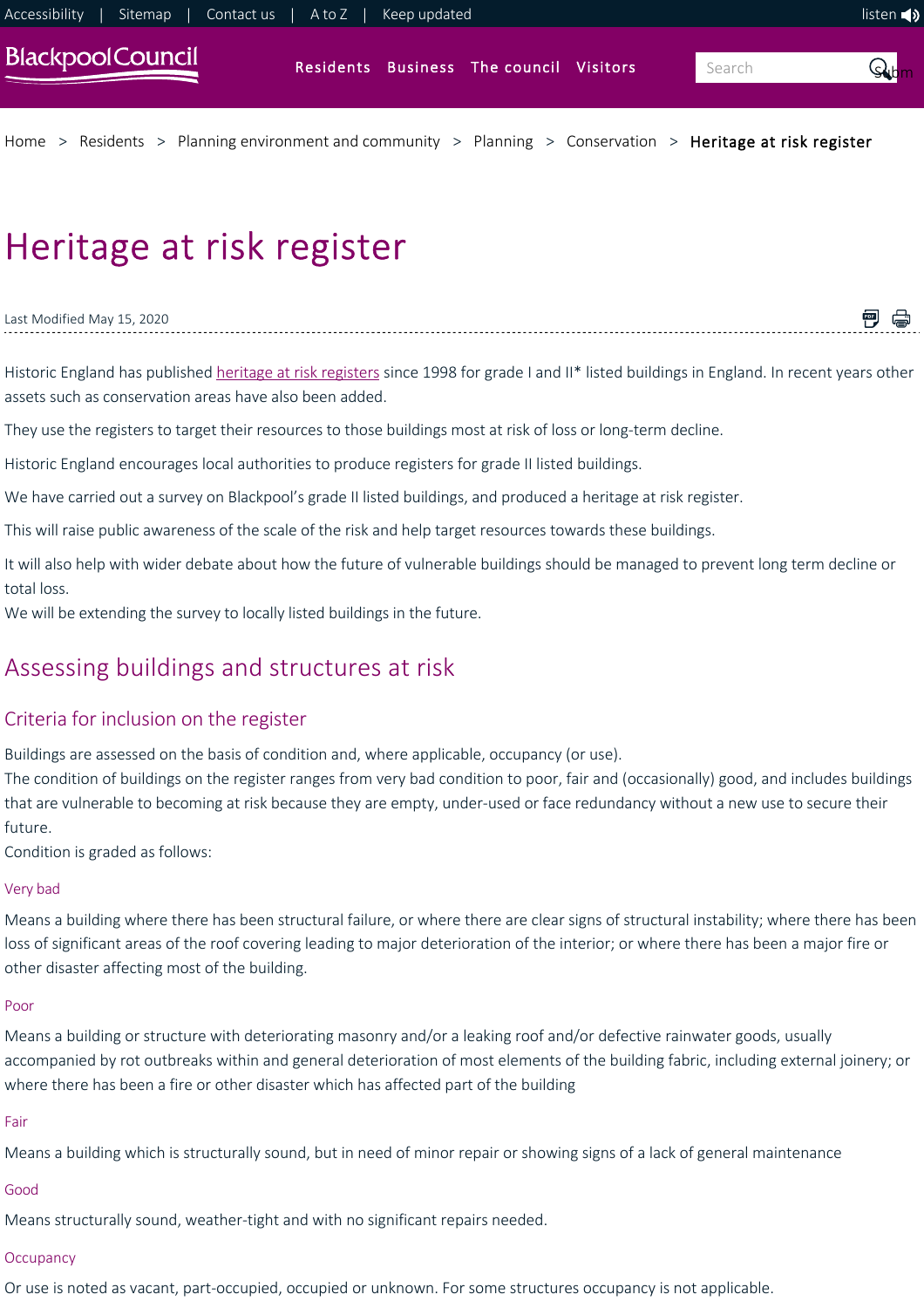

[Home](https://www.blackpool.gov.uk/Home.aspx) > [Residents](https://www.blackpool.gov.uk/Residents/Residents.aspx) > [Planning environment and community](https://www.blackpool.gov.uk/Residents/Planning-environment-and-community/Environmental-and-community.aspx) > [Planning](https://www.blackpool.gov.uk/Residents/Planning-environment-and-community/Planning/Planning.aspx) > [Conservation](https://www.blackpool.gov.uk/Residents/Planning-environment-and-community/Planning/Conservation/Conservation-areas-listed-buildings-and-trees-conservation.aspx) > [Heritage at risk register](https://www.blackpool.gov.uk/Residents/Planning-environment-and-community/Planning/Conservation/Heritage-at-risk-register.aspx)

# Heritage at risk register

Last Modified May 15, 2020

Historic England has published [heritage at risk registers](https://historicengland.org.uk/advice/heritage-at-risk/search-register/) since 1998 for grade I and II\* listed buildings in England. In recent years other assets such as conservation areas have also been added.

闸 扃

They use the registers to target their resources to those buildings most at risk of loss or long-term decline.

Historic England encourages local authorities to produce registers for grade II listed buildings.

We have carried out a survey on Blackpool's grade II listed buildings, and produced a heritage at risk register.

This will raise public awareness of the scale of the risk and help target resources towards these buildings.

It will also help with wider debate about how the future of vulnerable buildings should be managed to prevent long term decline or total loss.

We will be extending the survey to locally listed buildings in the future.

# Assessing buildings and structures at risk

### Criteria for inclusion on the register

Buildings are assessed on the basis of condition and, where applicable, occupancy (or use).

The condition of buildings on the register ranges from very bad condition to poor, fair and (occasionally) good, and includes buildings that are vulnerable to becoming at risk because they are empty, under‐used or face redundancy without a new use to secure their future.

Condition is graded as follows:

#### Very bad

Means a building where there has been structural failure, or where there are clear signs of structural instability; where there has been loss of significant areas of the roof covering leading to major deterioration of the interior; or where there has been a major fire or other disaster affecting most of the building.

#### Poor

Means a building or structure with deteriorating masonry and/or a leaking roof and/or defective rainwater goods, usually accompanied by rot outbreaks within and general deterioration of most elements of the building fabric, including external joinery; or where there has been a fire or other disaster which has affected part of the building

#### Fair

Means a building which is structurally sound, but in need of minor repair or showing signs of a lack of general maintenance

#### Good

Means structurally sound, weather-tight and with no significant repairs needed.

#### **Occupancy**

Or use is noted as vacant, part‐occupied, occupied or unknown. For some structures occupancy is not applicable.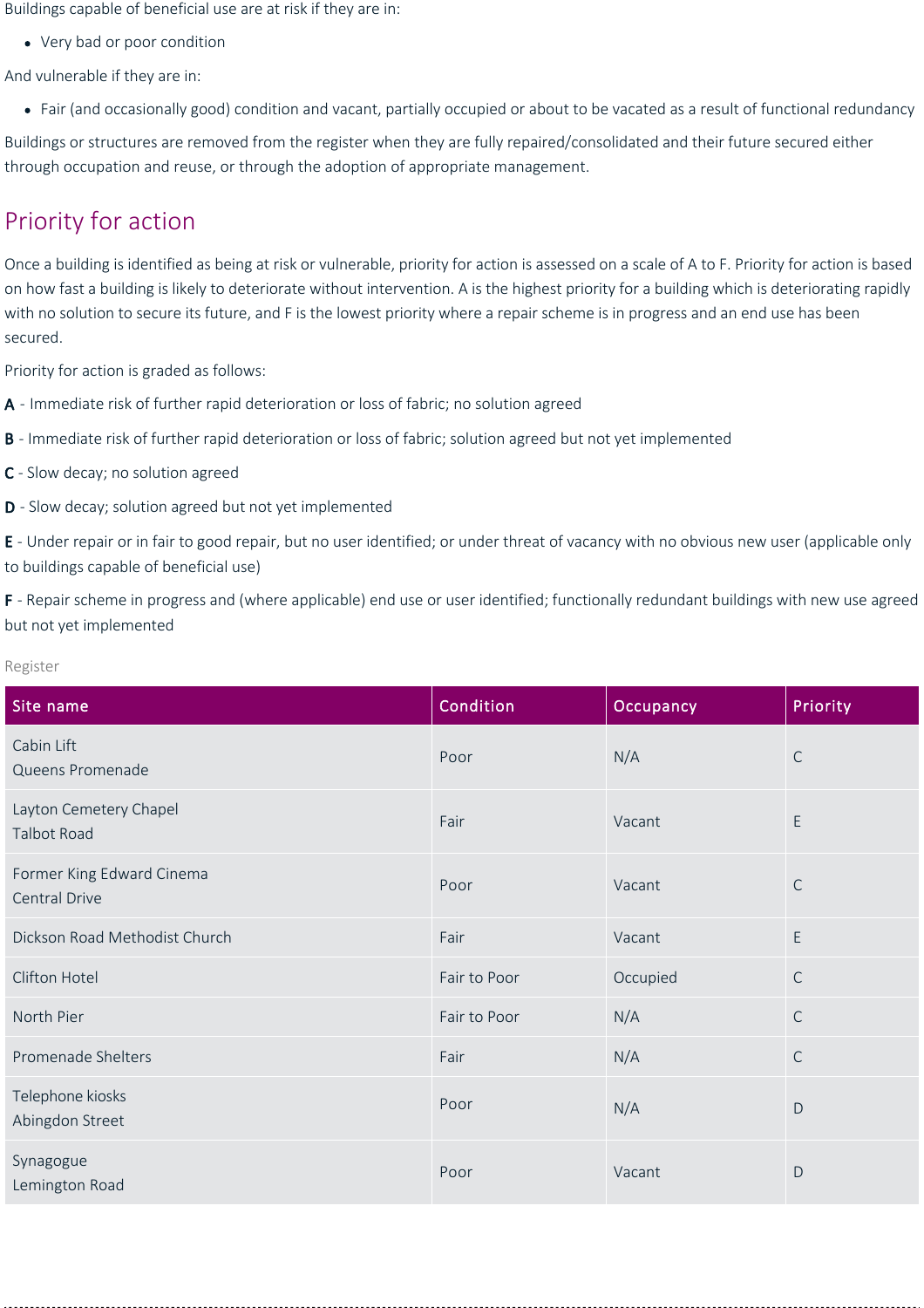Buildings capable of beneficial use are at risk if they are in:

Very bad or poor condition

And vulnerable if they are in:

Fair (and occasionally good) condition and vacant, partially occupied or about to be vacated as a result of functional redundancy

Buildings or structures are removed from the register when they are fully repaired/consolidated and their future secured either through occupation and reuse, or through the adoption of appropriate management.

# Priority for action

Once a building is identified as being at risk or vulnerable, priority for action is assessed on a scale of A to F. Priority for action is based on how fast a building is likely to deteriorate without intervention. A is the highest priority for a building which is deteriorating rapidly with no solution to secure its future, and F is the lowest priority where a repair scheme is in progress and an end use has been secured.

Priority for action is graded as follows:

- A ‐ Immediate risk of further rapid deterioration or loss of fabric; no solution agreed
- B Immediate risk of further rapid deterioration or loss of fabric; solution agreed but not yet implemented
- C ‐ Slow decay; no solution agreed
- D Slow decay; solution agreed but not yet implemented

E - Under repair or in fair to good repair, but no user identified; or under threat of vacancy with no obvious new user (applicable only to buildings capable of beneficial use)

F - Repair scheme in progress and (where applicable) end use or user identified; functionally redundant buildings with new use agreed but not yet implemented

| ٧<br>× |  |  |  |
|--------|--|--|--|
|--------|--|--|--|

| Site name                                  | Condition    | Occupancy | Priority     |
|--------------------------------------------|--------------|-----------|--------------|
| Cabin Lift<br>Queens Promenade             | Poor         | N/A       | $\mathsf C$  |
| Layton Cemetery Chapel<br>Talbot Road      | Fair         | Vacant    | E            |
| Former King Edward Cinema<br>Central Drive | Poor         | Vacant    | $\mathsf C$  |
| Dickson Road Methodist Church              | Fair         | Vacant    | E            |
| Clifton Hotel                              | Fair to Poor | Occupied  | $\mathsf{C}$ |
| North Pier                                 | Fair to Poor | N/A       | $\mathsf{C}$ |
| Promenade Shelters                         | Fair         | N/A       | $\mathsf{C}$ |
| Telephone kiosks<br>Abingdon Street        | Poor         | N/A       | D            |
| Synagogue<br>Lemington Road                | Poor         | Vacant    | $\mathsf{D}$ |